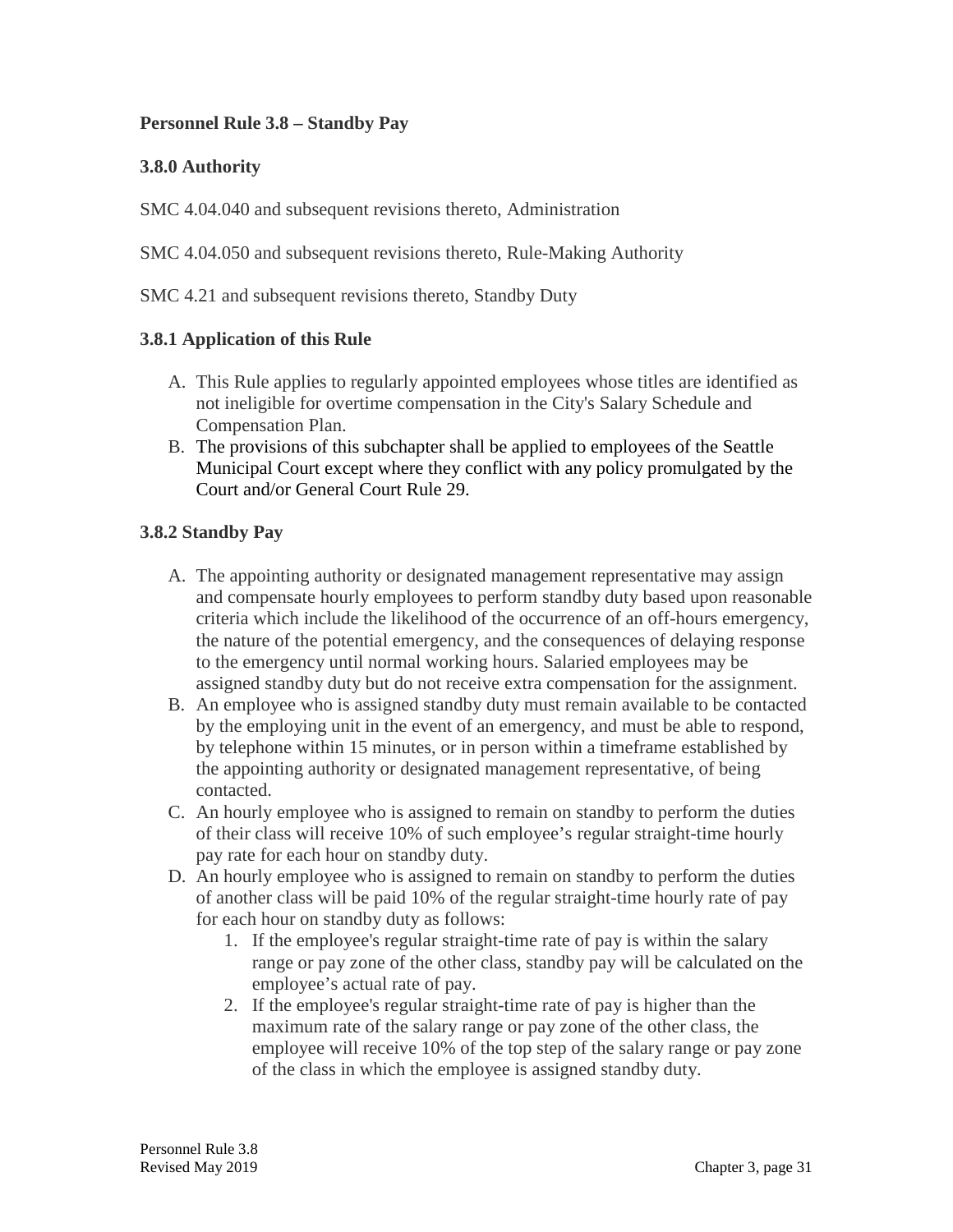## **Personnel Rule 3.8 – Standby Pay**

## **3.8.0 Authority**

SMC 4.04.040 and subsequent revisions thereto, Administration

SMC 4.04.050 and subsequent revisions thereto, Rule-Making Authority

SMC 4.21 and subsequent revisions thereto, Standby Duty

## **3.8.1 Application of this Rule**

- A. This Rule applies to regularly appointed employees whose titles are identified as not ineligible for overtime compensation in the City's Salary Schedule and Compensation Plan.
- B. The provisions of this subchapter shall be applied to employees of the Seattle Municipal Court except where they conflict with any policy promulgated by the Court and/or General Court Rule 29.

## **3.8.2 Standby Pay**

- A. The appointing authority or designated management representative may assign and compensate hourly employees to perform standby duty based upon reasonable criteria which include the likelihood of the occurrence of an off-hours emergency, the nature of the potential emergency, and the consequences of delaying response to the emergency until normal working hours. Salaried employees may be assigned standby duty but do not receive extra compensation for the assignment.
- B. An employee who is assigned standby duty must remain available to be contacted by the employing unit in the event of an emergency, and must be able to respond, by telephone within 15 minutes, or in person within a timeframe established by the appointing authority or designated management representative, of being contacted.
- C. An hourly employee who is assigned to remain on standby to perform the duties of their class will receive 10% of such employee's regular straight-time hourly pay rate for each hour on standby duty.
- D. An hourly employee who is assigned to remain on standby to perform the duties of another class will be paid 10% of the regular straight-time hourly rate of pay for each hour on standby duty as follows:
	- 1. If the employee's regular straight-time rate of pay is within the salary range or pay zone of the other class, standby pay will be calculated on the employee's actual rate of pay.
	- 2. If the employee's regular straight-time rate of pay is higher than the maximum rate of the salary range or pay zone of the other class, the employee will receive 10% of the top step of the salary range or pay zone of the class in which the employee is assigned standby duty.